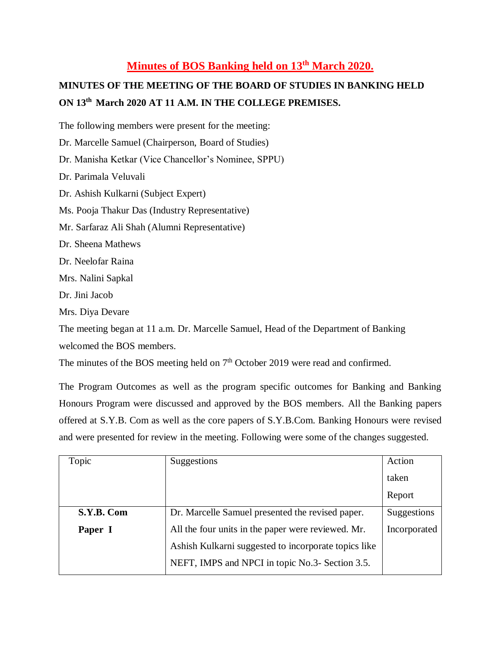## **Minutes of BOS Banking held on 13th March 2020.**

# **MINUTES OF THE MEETING OF THE BOARD OF STUDIES IN BANKING HELD ON 13th March 2020 AT 11 A.M. IN THE COLLEGE PREMISES.**

The following members were present for the meeting:

- Dr. Marcelle Samuel (Chairperson, Board of Studies)
- Dr. Manisha Ketkar (Vice Chancellor's Nominee, SPPU)

Dr. Parimala Veluvali

Dr. Ashish Kulkarni (Subject Expert)

Ms. Pooja Thakur Das (Industry Representative)

- Mr. Sarfaraz Ali Shah (Alumni Representative)
- Dr. Sheena Mathews
- Dr. Neelofar Raina
- Mrs. Nalini Sapkal

Dr. Jini Jacob

Mrs. Diya Devare

The meeting began at 11 a.m. Dr. Marcelle Samuel, Head of the Department of Banking

welcomed the BOS members.

The minutes of the BOS meeting held on  $7<sup>th</sup>$  October 2019 were read and confirmed.

The Program Outcomes as well as the program specific outcomes for Banking and Banking Honours Program were discussed and approved by the BOS members. All the Banking papers offered at S.Y.B. Com as well as the core papers of S.Y.B.Com. Banking Honours were revised and were presented for review in the meeting. Following were some of the changes suggested.

| Topic      | Suggestions                                          | Action       |
|------------|------------------------------------------------------|--------------|
|            |                                                      | taken        |
|            |                                                      | Report       |
| S.Y.B. Com | Dr. Marcelle Samuel presented the revised paper.     | Suggestions  |
| Paper I    | All the four units in the paper were reviewed. Mr.   | Incorporated |
|            | Ashish Kulkarni suggested to incorporate topics like |              |
|            | NEFT, IMPS and NPCI in topic No.3- Section 3.5.      |              |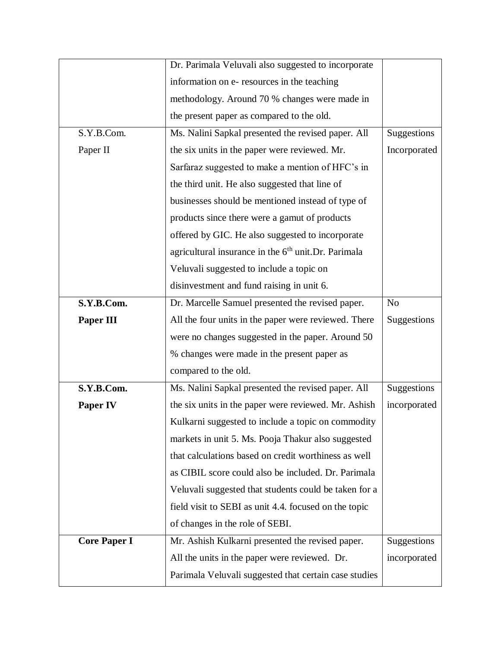|                     | Dr. Parimala Veluvali also suggested to incorporate             |                |
|---------------------|-----------------------------------------------------------------|----------------|
|                     | information on e- resources in the teaching                     |                |
|                     | methodology. Around 70 % changes were made in                   |                |
|                     | the present paper as compared to the old.                       |                |
| S.Y.B.Com.          | Ms. Nalini Sapkal presented the revised paper. All              | Suggestions    |
| Paper II            | the six units in the paper were reviewed. Mr.                   | Incorporated   |
|                     | Sarfaraz suggested to make a mention of HFC's in                |                |
|                     | the third unit. He also suggested that line of                  |                |
|                     | businesses should be mentioned instead of type of               |                |
|                     | products since there were a gamut of products                   |                |
|                     | offered by GIC. He also suggested to incorporate                |                |
|                     | agricultural insurance in the 6 <sup>th</sup> unit.Dr. Parimala |                |
|                     | Veluvali suggested to include a topic on                        |                |
|                     | disinvestment and fund raising in unit 6.                       |                |
| S.Y.B.Com.          | Dr. Marcelle Samuel presented the revised paper.                | N <sub>o</sub> |
| <b>Paper III</b>    | All the four units in the paper were reviewed. There            | Suggestions    |
|                     | were no changes suggested in the paper. Around 50               |                |
|                     | % changes were made in the present paper as                     |                |
|                     | compared to the old.                                            |                |
| S.Y.B.Com.          | Ms. Nalini Sapkal presented the revised paper. All              | Suggestions    |
| <b>Paper IV</b>     | the six units in the paper were reviewed. Mr. Ashish            | incorporated   |
|                     | Kulkarni suggested to include a topic on commodity              |                |
|                     | markets in unit 5. Ms. Pooja Thakur also suggested              |                |
|                     | that calculations based on credit worthiness as well            |                |
|                     | as CIBIL score could also be included. Dr. Parimala             |                |
|                     | Veluvali suggested that students could be taken for a           |                |
|                     | field visit to SEBI as unit 4.4. focused on the topic           |                |
|                     | of changes in the role of SEBI.                                 |                |
| <b>Core Paper I</b> | Mr. Ashish Kulkarni presented the revised paper.                | Suggestions    |
|                     | All the units in the paper were reviewed. Dr.                   | incorporated   |
|                     | Parimala Veluvali suggested that certain case studies           |                |